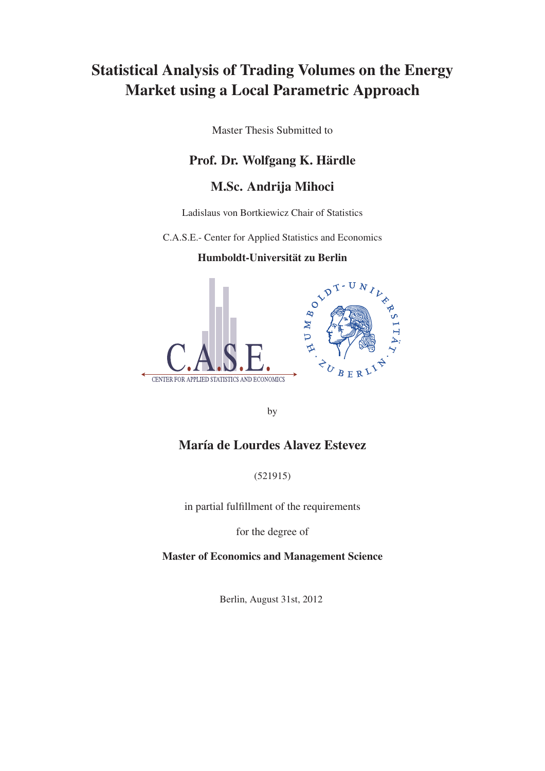## Statistical Analysis of Trading Volumes on the Energy Market using a Local Parametric Approach

Master Thesis Submitted to

### Prof. Dr. Wolfgang K. Härdle

### M.Sc. Andrija Mihoci

Ladislaus von Bortkiewicz Chair of Statistics

C.A.S.E.- Center for Applied Statistics and Economics

### Humboldt-Universität zu Berlin



by

### María de Lourdes Alavez Estevez

(521915)

in partial fulfillment of the requirements

for the degree of

Master of Economics and Management Science

Berlin, August 31st, 2012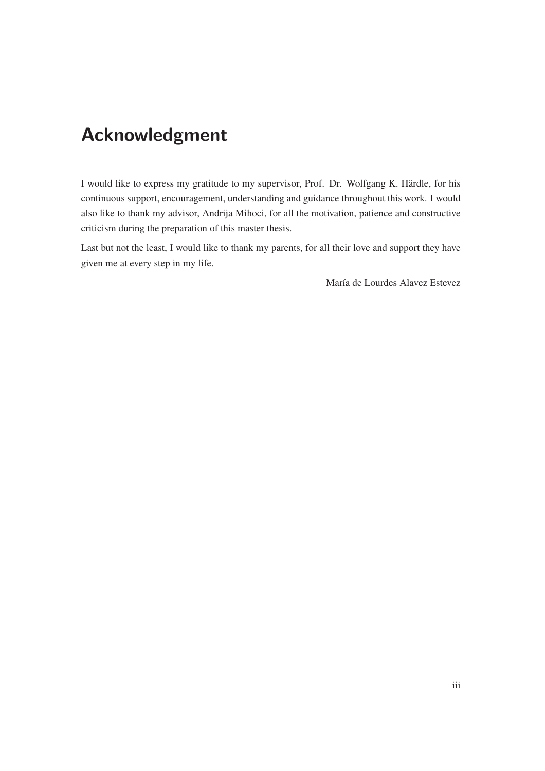## **Acknowledgment**

I would like to express my gratitude to my supervisor, Prof. Dr. Wolfgang K. Härdle, for his continuous support, encouragement, understanding and guidance throughout this work. I would also like to thank my advisor, Andrija Mihoci, for all the motivation, patience and constructive criticism during the preparation of this master thesis.

Last but not the least, I would like to thank my parents, for all their love and support they have given me at every step in my life.

María de Lourdes Alavez Estevez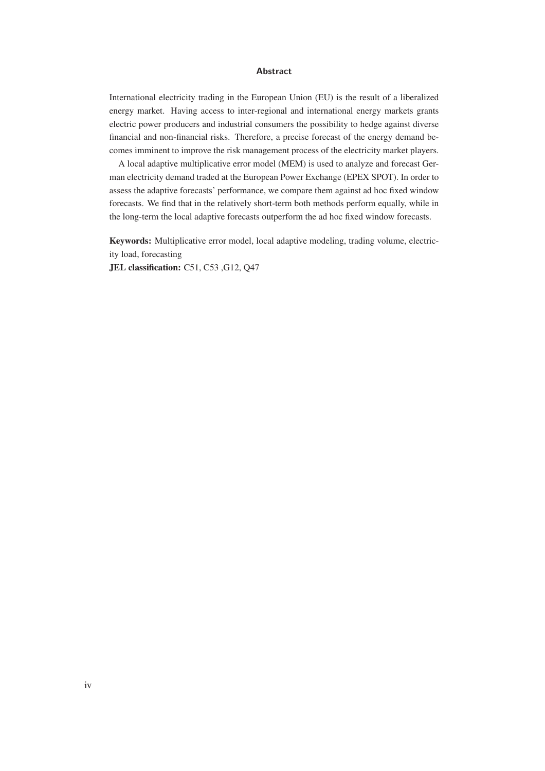#### **Abstract**

International electricity trading in the European Union (EU) is the result of a liberalized energy market. Having access to inter-regional and international energy markets grants electric power producers and industrial consumers the possibility to hedge against diverse financial and non-financial risks. Therefore, a precise forecast of the energy demand becomes imminent to improve the risk management process of the electricity market players.

A local adaptive multiplicative error model (MEM) is used to analyze and forecast German electricity demand traded at the European Power Exchange (EPEX SPOT). In order to assess the adaptive forecasts' performance, we compare them against ad hoc fixed window forecasts. We find that in the relatively short-term both methods perform equally, while in the long-term the local adaptive forecasts outperform the ad hoc fixed window forecasts.

Keywords: Multiplicative error model, local adaptive modeling, trading volume, electricity load, forecasting

JEL classification: C51, C53 ,G12, Q47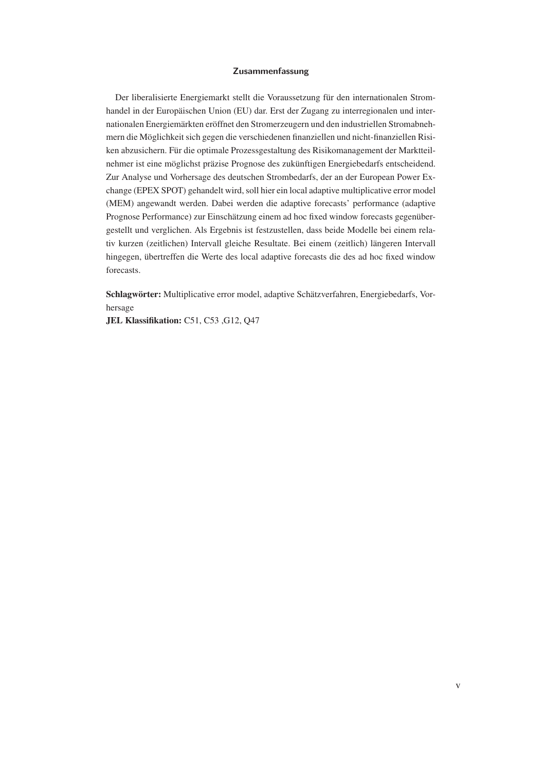#### **Zusammenfassung**

Der liberalisierte Energiemarkt stellt die Voraussetzung für den internationalen Stromhandel in der Europäischen Union (EU) dar. Erst der Zugang zu interregionalen und internationalen Energiemärkten eröffnet den Stromerzeugern und den industriellen Stromabnehmern die Möglichkeit sich gegen die verschiedenen finanziellen und nicht-finanziellen Risiken abzusichern. Für die optimale Prozessgestaltung des Risikomanagement der Marktteilnehmer ist eine möglichst präzise Prognose des zukünftigen Energiebedarfs entscheidend. Zur Analyse und Vorhersage des deutschen Strombedarfs, der an der European Power Exchange (EPEX SPOT) gehandelt wird, soll hier ein local adaptive multiplicative error model (MEM) angewandt werden. Dabei werden die adaptive forecasts' performance (adaptive Prognose Performance) zur Einschätzung einem ad hoc fixed window forecasts gegenübergestellt und verglichen. Als Ergebnis ist festzustellen, dass beide Modelle bei einem relativ kurzen (zeitlichen) Intervall gleiche Resultate. Bei einem (zeitlich) längeren Intervall hingegen, übertreffen die Werte des local adaptive forecasts die des ad hoc fixed window forecasts.

Schlagwörter: Multiplicative error model, adaptive Schätzverfahren, Energiebedarfs, Vorhersage

JEL Klassifikation: C51, C53 ,G12, Q47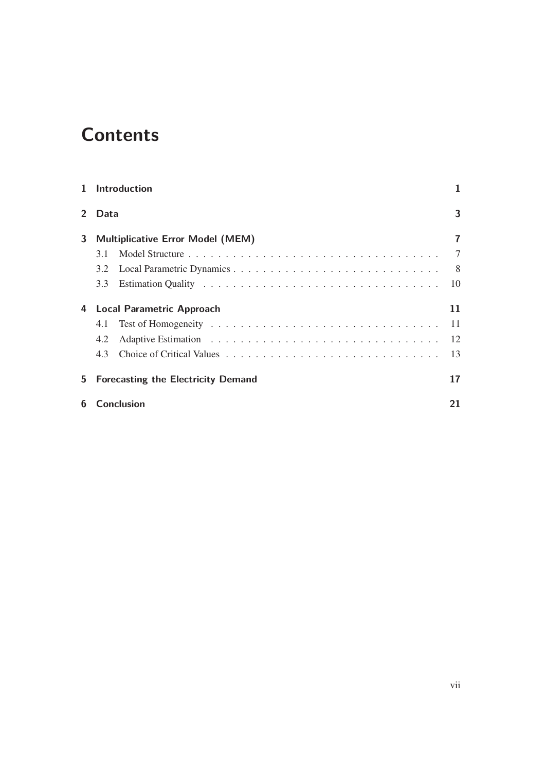# **Contents**

|                       | 1 Introduction                            |                |
|-----------------------|-------------------------------------------|----------------|
| $\mathbf{2}^{\prime}$ | Data                                      | 3              |
| 3                     | <b>Multiplicative Error Model (MEM)</b>   | $\overline{7}$ |
|                       | 3.1                                       | 7              |
|                       | 3.2                                       | 8              |
|                       | 3.3                                       | 10             |
| 4                     | <b>Local Parametric Approach</b>          | 11             |
|                       | 4.1                                       | -11            |
|                       | 4.2                                       | 12             |
|                       | 4.3                                       | 13             |
| 5.                    | <b>Forecasting the Electricity Demand</b> | 17             |
| 6                     | Conclusion                                | 21             |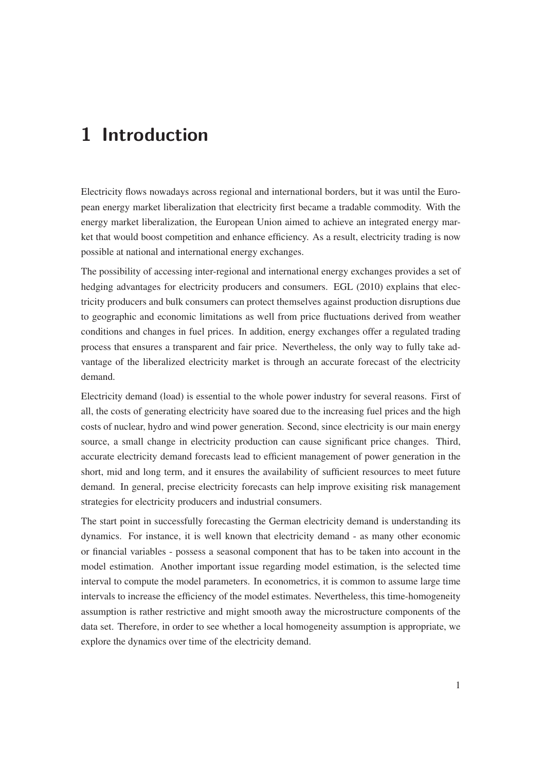## **1 Introduction**

Electricity flows nowadays across regional and international borders, but it was until the European energy market liberalization that electricity first became a tradable commodity. With the energy market liberalization, the European Union aimed to achieve an integrated energy market that would boost competition and enhance efficiency. As a result, electricity trading is now possible at national and international energy exchanges.

The possibility of accessing inter-regional and international energy exchanges provides a set of hedging advantages for electricity producers and consumers. EGL (2010) explains that electricity producers and bulk consumers can protect themselves against production disruptions due to geographic and economic limitations as well from price fluctuations derived from weather conditions and changes in fuel prices. In addition, energy exchanges offer a regulated trading process that ensures a transparent and fair price. Nevertheless, the only way to fully take advantage of the liberalized electricity market is through an accurate forecast of the electricity demand.

Electricity demand (load) is essential to the whole power industry for several reasons. First of all, the costs of generating electricity have soared due to the increasing fuel prices and the high costs of nuclear, hydro and wind power generation. Second, since electricity is our main energy source, a small change in electricity production can cause significant price changes. Third, accurate electricity demand forecasts lead to efficient management of power generation in the short, mid and long term, and it ensures the availability of sufficient resources to meet future demand. In general, precise electricity forecasts can help improve exisiting risk management strategies for electricity producers and industrial consumers.

The start point in successfully forecasting the German electricity demand is understanding its dynamics. For instance, it is well known that electricity demand - as many other economic or financial variables - possess a seasonal component that has to be taken into account in the model estimation. Another important issue regarding model estimation, is the selected time interval to compute the model parameters. In econometrics, it is common to assume large time intervals to increase the efficiency of the model estimates. Nevertheless, this time-homogeneity assumption is rather restrictive and might smooth away the microstructure components of the data set. Therefore, in order to see whether a local homogeneity assumption is appropriate, we explore the dynamics over time of the electricity demand.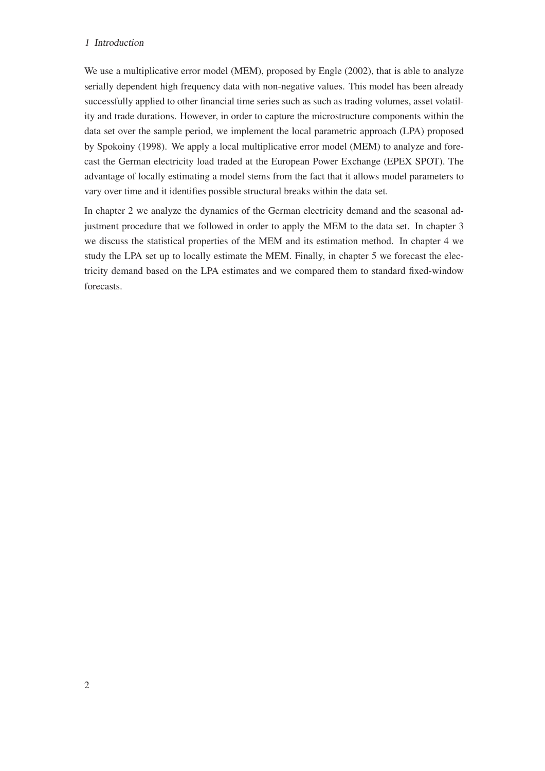#### <sup>1</sup> Introduction

We use a multiplicative error model (MEM), proposed by Engle (2002), that is able to analyze serially dependent high frequency data with non-negative values. This model has been already successfully applied to other financial time series such as such as trading volumes, asset volatility and trade durations. However, in order to capture the microstructure components within the data set over the sample period, we implement the local parametric approach (LPA) proposed by Spokoiny (1998). We apply a local multiplicative error model (MEM) to analyze and forecast the German electricity load traded at the European Power Exchange (EPEX SPOT). The advantage of locally estimating a model stems from the fact that it allows model parameters to vary over time and it identifies possible structural breaks within the data set.

In chapter 2 we analyze the dynamics of the German electricity demand and the seasonal adjustment procedure that we followed in order to apply the MEM to the data set. In chapter 3 we discuss the statistical properties of the MEM and its estimation method. In chapter 4 we study the LPA set up to locally estimate the MEM. Finally, in chapter 5 we forecast the electricity demand based on the LPA estimates and we compared them to standard fixed-window forecasts.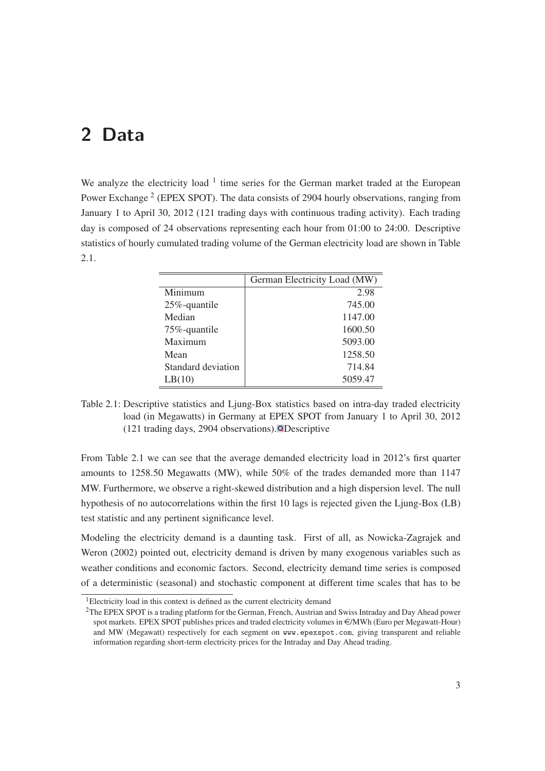## **2 Data**

We analyze the electricity load  $1$  time series for the German market traded at the European Power Exchange<sup>2</sup> (EPEX SPOT). The data consists of 2904 hourly observations, ranging from January 1 to April 30, 2012 (121 trading days with continuous trading activity). Each trading day is composed of 24 observations representing each hour from 01:00 to 24:00. Descriptive statistics of hourly cumulated trading volume of the German electricity load are shown in Table 2.1.

|                    | German Electricity Load (MW) |
|--------------------|------------------------------|
| Minimum            | 2.98                         |
| 25%-quantile       | 745.00                       |
| Median             | 1147.00                      |
| 75%-quantile       | 1600.50                      |
| Maximum            | 5093.00                      |
| Mean               | 1258.50                      |
| Standard deviation | 714.84                       |
| LB(10)             | 5059.47                      |

Table 2.1: Descriptive statistics and Ljung-Box statistics based on intra-day traded electricity load (in Megawatts) in Germany at EPEX SPOT from January 1 to April 30, 2012  $(121 \text{ trading days}, 2904 \text{ observations}).$  **O** Descriptive

From Table 2.1 we can see that the average demanded electricity load in 2012's first quarter amounts to 1258.50 Megawatts (MW), while 50% of the trades demanded more than 1147 MW. Furthermore, we observe a right-skewed distribution and a high dispersion level. The null hypothesis of no autocorrelations within the first 10 lags is rejected given the Ljung-Box (LB) test statistic and any pertinent significance level.

Modeling the electricity demand is a daunting task. First of all, as Nowicka-Zagrajek and Weron (2002) pointed out, electricity demand is driven by many exogenous variables such as weather conditions and economic factors. Second, electricity demand time series is composed of a deterministic (seasonal) and stochastic component at different time scales that has to be

<sup>&</sup>lt;sup>1</sup>Electricity load in this context is defined as the current electricity demand

<sup>&</sup>lt;sup>2</sup>The EPEX SPOT is a trading platform for the German, French, Austrian and Swiss Intraday and Day Ahead power spot markets. EPEX SPOT publishes prices and traded electricity volumes in  $\epsilon/MWh$  (Euro per Megawatt-Hour) and MW (Megawatt) respectively for each segment on www.epexspot.com, giving transparent and reliable information regarding short-term electricity prices for the Intraday and Day Ahead trading.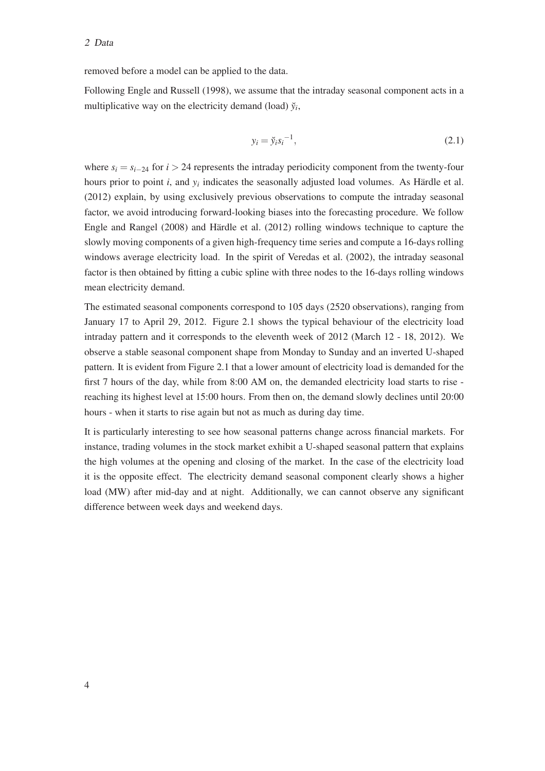#### <sup>2</sup> Data

removed before a model can be applied to the data.

Following Engle and Russell (1998), we assume that the intraday seasonal component acts in a multiplicative way on the electricity demand (load)  $\breve{y}_i$ ,

$$
y_i = \breve{y}_i s_i^{-1},\tag{2.1}
$$

where  $s_i = s_{i-24}$  for  $i > 24$  represents the intraday periodicity component from the twenty-four hours prior to point *i*, and *y<sup>i</sup>* indicates the seasonally adjusted load volumes. As Härdle et al. (2012) explain, by using exclusively previous observations to compute the intraday seasonal factor, we avoid introducing forward-looking biases into the forecasting procedure. We follow Engle and Rangel (2008) and Härdle et al. (2012) rolling windows technique to capture the slowly moving components of a given high-frequency time series and compute a 16-days rolling windows average electricity load. In the spirit of Veredas et al. (2002), the intraday seasonal factor is then obtained by fitting a cubic spline with three nodes to the 16-days rolling windows mean electricity demand.

The estimated seasonal components correspond to 105 days (2520 observations), ranging from January 17 to April 29, 2012. Figure 2.1 shows the typical behaviour of the electricity load intraday pattern and it corresponds to the eleventh week of 2012 (March 12 - 18, 2012). We observe a stable seasonal component shape from Monday to Sunday and an inverted U-shaped pattern. It is evident from Figure 2.1 that a lower amount of electricity load is demanded for the first 7 hours of the day, while from 8:00 AM on, the demanded electricity load starts to rise reaching its highest level at 15:00 hours. From then on, the demand slowly declines until 20:00 hours - when it starts to rise again but not as much as during day time.

It is particularly interesting to see how seasonal patterns change across financial markets. For instance, trading volumes in the stock market exhibit a U-shaped seasonal pattern that explains the high volumes at the opening and closing of the market. In the case of the electricity load it is the opposite effect. The electricity demand seasonal component clearly shows a higher load (MW) after mid-day and at night. Additionally, we can cannot observe any significant difference between week days and weekend days.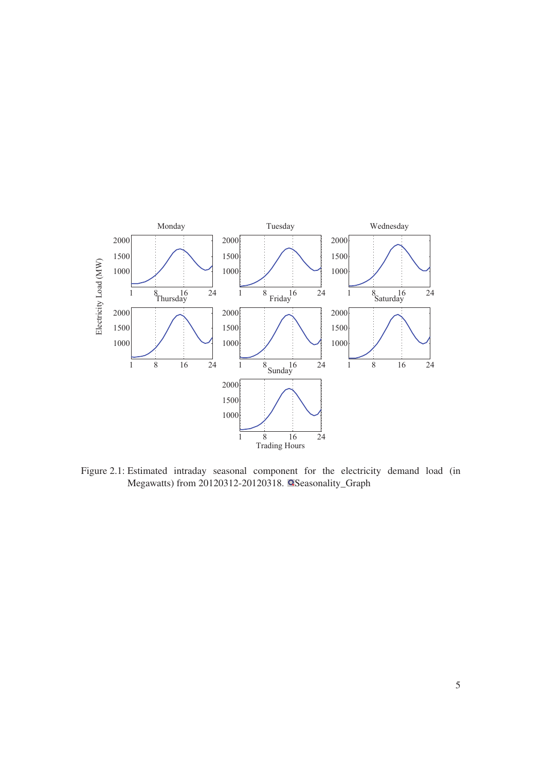

Figure 2.1: Estimated intraday seasonal component for the electricity demand load (in Megawatts) from 20120312-20120318. **QSeasonality\_Graph**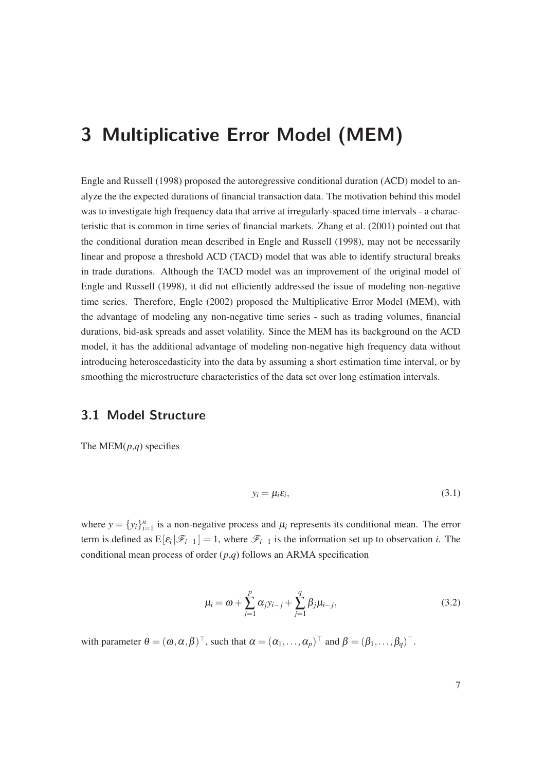## **3 Multiplicative Error Model (MEM)**

Engle and Russell (1998) proposed the autoregressive conditional duration (ACD) model to analyze the the expected durations of financial transaction data. The motivation behind this model was to investigate high frequency data that arrive at irregularly-spaced time intervals - a characteristic that is common in time series of financial markets. Zhang et al. (2001) pointed out that the conditional duration mean described in Engle and Russell (1998), may not be necessarily linear and propose a threshold ACD (TACD) model that was able to identify structural breaks in trade durations. Although the TACD model was an improvement of the original model of Engle and Russell (1998), it did not efficiently addressed the issue of modeling non-negative time series. Therefore, Engle (2002) proposed the Multiplicative Error Model (MEM), with the advantage of modeling any non-negative time series - such as trading volumes, financial durations, bid-ask spreads and asset volatility. Since the MEM has its background on the ACD model, it has the additional advantage of modeling non-negative high frequency data without introducing heteroscedasticity into the data by assuming a short estimation time interval, or by smoothing the microstructure characteristics of the data set over long estimation intervals.

### **3.1 Model Structure**

The MEM(*p*,*q*) specifies

$$
y_i = \mu_i \varepsilon_i,\tag{3.1}
$$

where  $y = \{y_i\}_{i=1}^n$  is a non-negative process and  $\mu_i$  represents its conditional mean. The error term is defined as  $E[\varepsilon_i|\mathscr{F}_{i-1}] = 1$ , where  $\mathscr{F}_{i-1}$  is the information set up to observation *i*. The conditional mean process of order (*p*,*q*) follows an ARMA specification

$$
\mu_i = \omega + \sum_{j=1}^p \alpha_j y_{i-j} + \sum_{j=1}^q \beta_j \mu_{i-j},
$$
\n(3.2)

with parameter  $\theta = (\omega, \alpha, \beta)^{\top}$ , such that  $\alpha = (\alpha_1, \dots, \alpha_p)^{\top}$  and  $\beta = (\beta_1, \dots, \beta_q)^{\top}$ .

7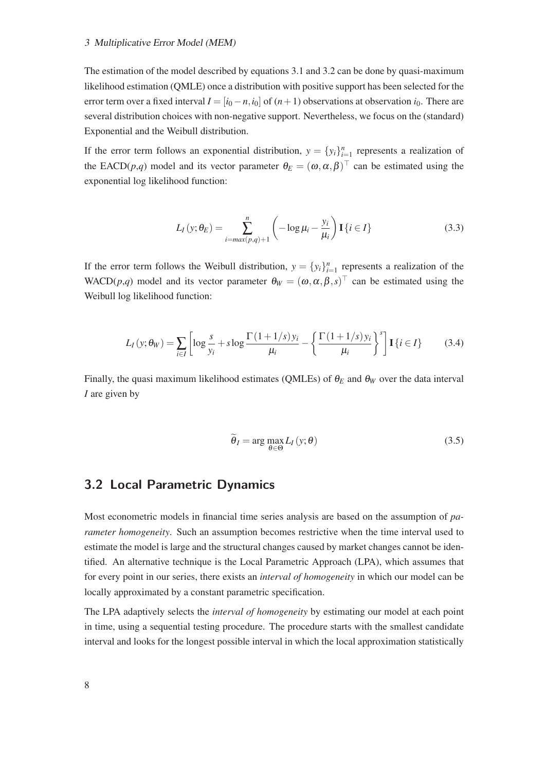#### <sup>3</sup> Multiplicative Error Model (MEM)

The estimation of the model described by equations 3.1 and 3.2 can be done by quasi-maximum likelihood estimation (QMLE) once a distribution with positive support has been selected for the error term over a fixed interval  $I = [i_0 - n, i_0]$  of  $(n + 1)$  observations at observation  $i_0$ . There are several distribution choices with non-negative support. Nevertheless, we focus on the (standard) Exponential and the Weibull distribution.

If the error term follows an exponential distribution,  $y = \{y_i\}_{i=1}^n$  represents a realization of the EACD(*p*,*q*) model and its vector parameter  $\theta_E = (\omega, \alpha, \beta)^\top$  can be estimated using the exponential log likelihood function:

$$
L_I(y; \theta_E) = \sum_{i=max(p,q)+1}^{n} \left( -\log \mu_i - \frac{y_i}{\mu_i} \right) \mathbf{I} \{i \in I\}
$$
 (3.3)

If the error term follows the Weibull distribution,  $y = \{y_i\}_{i=1}^n$  represents a realization of the WACD(*p*,*q*) model and its vector parameter  $\theta_W = (\omega, \alpha, \beta, s)^\top$  can be estimated using the Weibull log likelihood function:

$$
L_I(y; \theta_W) = \sum_{i \in I} \left[ \log \frac{s}{y_i} + s \log \frac{\Gamma(1 + 1/s) y_i}{\mu_i} - \left\{ \frac{\Gamma(1 + 1/s) y_i}{\mu_i} \right\}^s \right] \mathbf{I} \{i \in I\}
$$
(3.4)

Finally, the quasi maximum likelihood estimates (QMLEs) of  $\theta_E$  and  $\theta_W$  over the data interval *I* are given by

$$
\widetilde{\theta}_I = \arg \max_{\theta \in \Theta} L_I(y; \theta) \tag{3.5}
$$

#### **3.2 Local Parametric Dynamics**

Most econometric models in financial time series analysis are based on the assumption of *parameter homogeneity*. Such an assumption becomes restrictive when the time interval used to estimate the model is large and the structural changes caused by market changes cannot be identified. An alternative technique is the Local Parametric Approach (LPA), which assumes that for every point in our series, there exists an *interval of homogeneity* in which our model can be locally approximated by a constant parametric specification.

The LPA adaptively selects the *interval of homogeneity* by estimating our model at each point in time, using a sequential testing procedure. The procedure starts with the smallest candidate interval and looks for the longest possible interval in which the local approximation statistically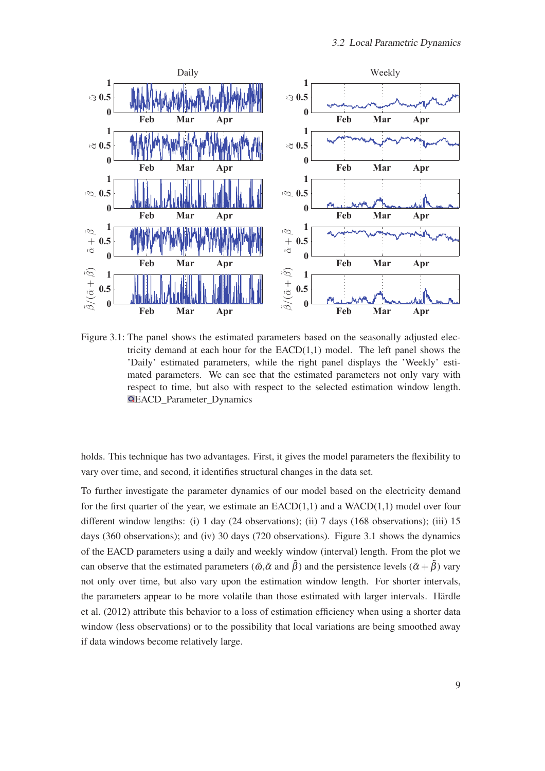

Figure 3.1: The panel shows the estimated parameters based on the seasonally adjusted electricity demand at each hour for the  $EACD(1,1)$  model. The left panel shows the 'Daily' estimated parameters, while the right panel displays the 'Weekly' estimated parameters. We can see that the estimated parameters not only vary with respect to time, but also with respect to the selected estimation window length. EACD\_Parameter\_Dynamics

holds. This technique has two advantages. First, it gives the model parameters the flexibility to vary over time, and second, it identifies structural changes in the data set.

To further investigate the parameter dynamics of our model based on the electricity demand for the first quarter of the year, we estimate an  $EACD(1,1)$  and a WACD(1,1) model over four different window lengths: (i) 1 day (24 observations); (ii) 7 days (168 observations); (iii) 15 days (360 observations); and (iv) 30 days (720 observations). Figure 3.1 shows the dynamics of the EACD parameters using a daily and weekly window (interval) length. From the plot we can observe that the estimated parameters ( $\tilde{\omega}, \tilde{\alpha}$  and  $\tilde{\beta}$ ) and the persistence levels ( $\tilde{\alpha} + \tilde{\beta}$ ) vary not only over time, but also vary upon the estimation window length. For shorter intervals, the parameters appear to be more volatile than those estimated with larger intervals. Härdle et al. (2012) attribute this behavior to a loss of estimation efficiency when using a shorter data window (less observations) or to the possibility that local variations are being smoothed away if data windows become relatively large.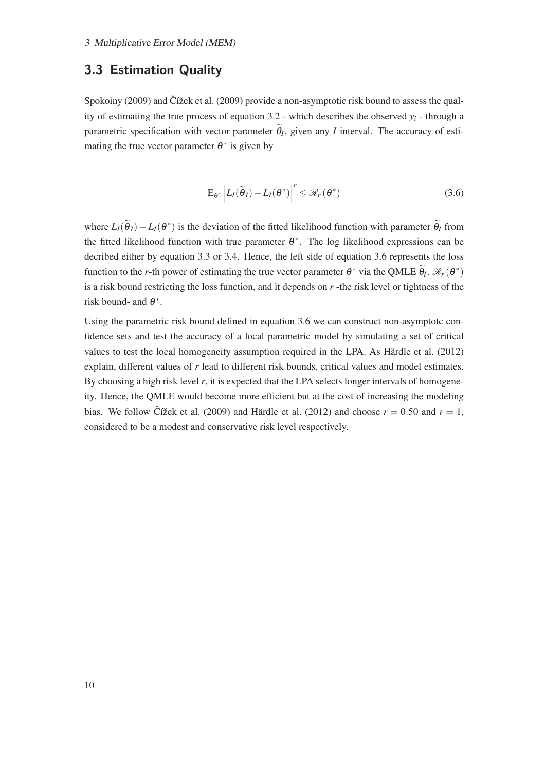### **3.3 Estimation Quality**

Spokoiny  $(2009)$  and Čížek et al.  $(2009)$  provide a non-asymptotic risk bound to assess the quality of estimating the true process of equation 3.2 - which describes the observed *y<sup>i</sup>* - through a parametric specification with vector parameter  $\theta_I$ , given any *I* interval. The accuracy of estimating the true vector parameter  $\theta^*$  is given by

$$
\mathbf{E}_{\theta^*} \left| L_I(\widetilde{\theta}_I) - L_I(\theta^*) \right|^r \leq \mathcal{R}_r(\theta^*) \tag{3.6}
$$

where  $L_I(\tilde{\theta}_I) - L_I(\theta^*)$  is the deviation of the fitted likelihood function with parameter  $\tilde{\theta}_I$  from the fitted likelihood function with true parameter  $\theta^*$ . The log likelihood expressions can be decribed either by equation 3.3 or 3.4. Hence, the left side of equation 3.6 represents the loss function to the *r*-th power of estimating the true vector parameter  $\theta^*$  via the QMLE  $\widetilde{\theta}_l$ .  $\mathcal{R}_r(\theta^*)$ is a risk bound restricting the loss function, and it depends on *r* -the risk level or tightness of the risk bound- and  $\theta^*$ .

Using the parametric risk bound defined in equation 3.6 we can construct non-asymptotc confidence sets and test the accuracy of a local parametric model by simulating a set of critical values to test the local homogeneity assumption required in the LPA. As Härdle et al. (2012) explain, different values of *r* lead to different risk bounds, critical values and model estimates. By choosing a high risk level *r*, it is expected that the LPA selects longer intervals of homogeneity. Hence, the QMLE would become more efficient but at the cost of increasing the modeling bias. We follow Čížek et al. (2009) and Härdle et al. (2012) and choose  $r = 0.50$  and  $r = 1$ , considered to be a modest and conservative risk level respectively.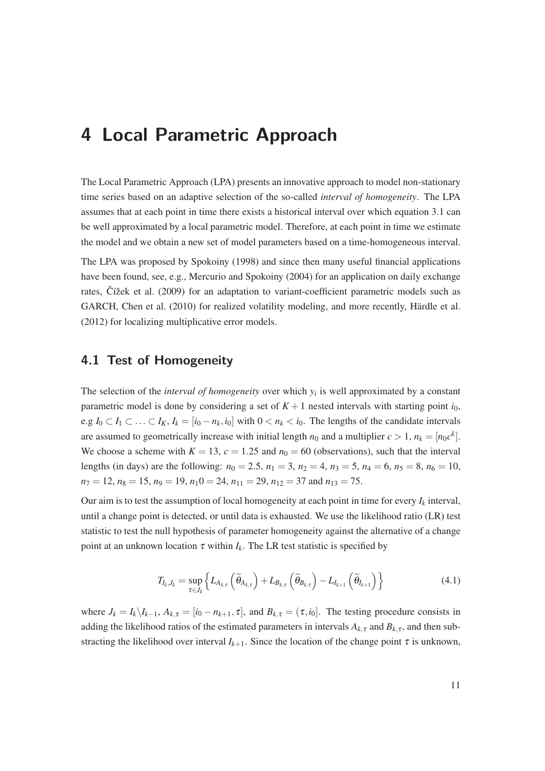## **4 Local Parametric Approach**

The Local Parametric Approach (LPA) presents an innovative approach to model non-stationary time series based on an adaptive selection of the so-called *interval of homogeneity*. The LPA assumes that at each point in time there exists a historical interval over which equation 3.1 can be well approximated by a local parametric model. Therefore, at each point in time we estimate the model and we obtain a new set of model parameters based on a time-homogeneous interval.

The LPA was proposed by Spokoiny (1998) and since then many useful financial applications have been found, see, e.g., Mercurio and Spokoiny (2004) for an application on daily exchange rates, Čížek et al. (2009) for an adaptation to variant-coefficient parametric models such as GARCH, Chen et al. (2010) for realized volatility modeling, and more recently, Härdle et al. (2012) for localizing multiplicative error models.

### **4.1 Test of Homogeneity**

The selection of the *interval of homogeneity* over which  $y_i$  is well approximated by a constant parametric model is done by considering a set of  $K + 1$  nested intervals with starting point  $i_0$ , e.g *I*<sub>0</sub> ⊂ *I*<sub>1</sub> ⊂ ... ⊂ *I*<sub>K</sub>, *I*<sub>k</sub> = [*i*<sub>0</sub> − *n*<sub>k</sub>,*i*<sub>0</sub>] with 0 < *n*<sub>k</sub> < *i*<sub>0</sub>. The lengths of the candidate intervals are assumed to geometrically increase with initial length  $n_0$  and a multiplier  $c > 1$ ,  $n_k = [n_0 c^k]$ . We choose a scheme with  $K = 13$ ,  $c = 1.25$  and  $n_0 = 60$  (observations), such that the interval lengths (in days) are the following:  $n_0 = 2.5$ ,  $n_1 = 3$ ,  $n_2 = 4$ ,  $n_3 = 5$ ,  $n_4 = 6$ ,  $n_5 = 8$ ,  $n_6 = 10$ ,  $n_7 = 12$ ,  $n_8 = 15$ ,  $n_9 = 19$ ,  $n_10 = 24$ ,  $n_{11} = 29$ ,  $n_{12} = 37$  and  $n_{13} = 75$ .

Our aim is to test the assumption of local homogeneity at each point in time for every  $I_k$  interval, until a change point is detected, or until data is exhausted. We use the likelihood ratio (LR) test statistic to test the null hypothesis of parameter homogeneity against the alternative of a change point at an unknown location  $\tau$  within  $I_k$ . The LR test statistic is specified by

$$
T_{I_k, J_k} = \sup_{\tau \in J_k} \left\{ L_{A_{k,\tau}} \left( \widetilde{\theta}_{A_{k,\tau}} \right) + L_{B_{k,\tau}} \left( \widetilde{\theta}_{B_{k,\tau}} \right) - L_{I_{k+1}} \left( \widetilde{\theta}_{I_{k+1}} \right) \right\}
$$
(4.1)

where  $J_k = I_k \setminus I_{k-1}$ ,  $A_{k,\tau} = [i_0 - n_{k+1}, \tau]$ , and  $B_{k,\tau} = (\tau, i_0]$ . The testing procedure consists in adding the likelihood ratios of the estimated parameters in intervals  $A_{k,\tau}$  and  $B_{k,\tau}$ , and then substracting the likelihood over interval  $I_{k+1}$ . Since the location of the change point  $\tau$  is unknown,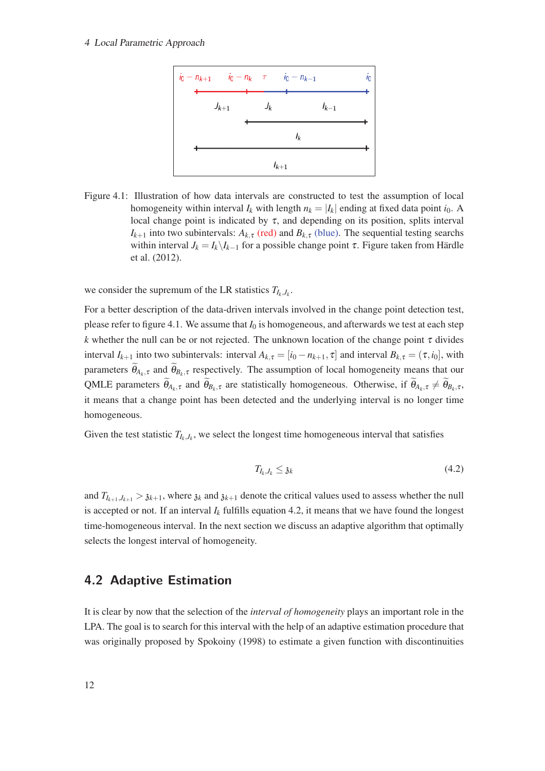#### <sup>4</sup> Local Parametric Approach



Figure 4.1: Illustration of how data intervals are constructed to test the assumption of local homogeneity within interval  $I_k$  with length  $n_k = |I_k|$  ending at fixed data point  $i_0$ . A local change point is indicated by  $\tau$ , and depending on its position, splits interval *I*<sub>*k*+1</sub> into two subintervals:  $A_{k,\tau}$  (red) and  $B_{k,\tau}$  (blue). The sequential testing searchs within interval  $J_k = I_k \setminus I_{k-1}$  for a possible change point  $\tau$ . Figure taken from Härdle et al. (2012).

we consider the supremum of the LR statistics  $T_{I_k,J_k}$ .

For a better description of the data-driven intervals involved in the change point detection test, please refer to figure 4.1. We assume that  $I_0$  is homogeneous, and afterwards we test at each step *k* whether the null can be or not rejected. The unknown location of the change point  $\tau$  divides interval  $I_{k+1}$  into two subintervals: interval  $A_{k,\tau} = [i_0 - n_{k+1}, \tau]$  and interval  $B_{k,\tau} = (\tau, i_0]$ , with parameters  $\theta_{A_k, \tau}$  and  $\theta_{B_k, \tau}$  respectively. The assumption of local homogeneity means that our QMLE parameters  $\theta_{A_k,\tau}$  and  $\theta_{B_k,\tau}$  are statistically homogeneous. Otherwise, if  $\theta_{A_k,\tau} \neq \theta_{B_k,\tau}$ , it means that a change point has been detected and the underlying interval is no longer time homogeneous.

Given the test statistic  $T_{I_k,J_k}$ , we select the longest time homogeneous interval that satisfies

$$
T_{I_k, J_k} \leq \mathfrak{z}_k \tag{4.2}
$$

and  $T_{I_{k+1},J_{k+1}} > \mathfrak{z}_{k+1}$ , where  $\mathfrak{z}_k$  and  $\mathfrak{z}_{k+1}$  denote the critical values used to assess whether the null is accepted or not. If an interval  $I_k$  fulfills equation 4.2, it means that we have found the longest time-homogeneous interval. In the next section we discuss an adaptive algorithm that optimally selects the longest interval of homogeneity.

### **4.2 Adaptive Estimation**

It is clear by now that the selection of the *interval of homogeneity* plays an important role in the LPA. The goal is to search for this interval with the help of an adaptive estimation procedure that was originally proposed by Spokoiny (1998) to estimate a given function with discontinuities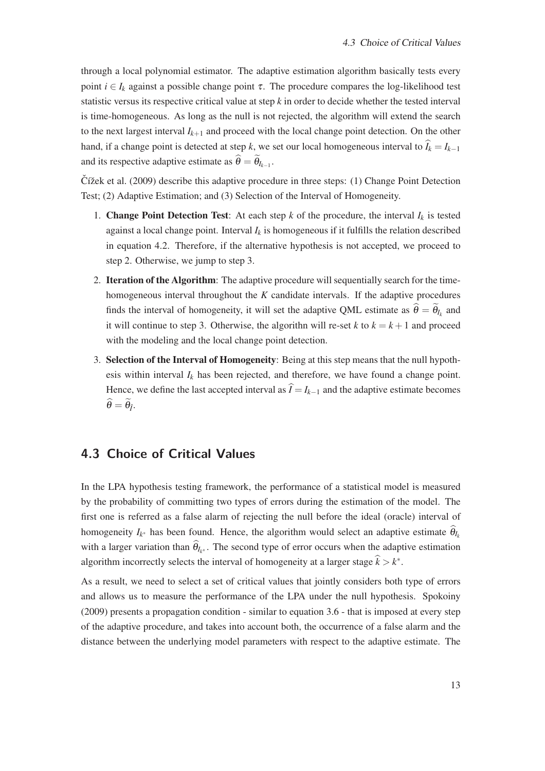through a local polynomial estimator. The adaptive estimation algorithm basically tests every point  $i \in I_k$  against a possible change point  $\tau$ . The procedure compares the log-likelihood test statistic versus its respective critical value at step *k* in order to decide whether the tested interval is time-homogeneous. As long as the null is not rejected, the algorithm will extend the search to the next largest interval  $I_{k+1}$  and proceed with the local change point detection. On the other hand, if a change point is detected at step *k*, we set our local homogeneous interval to  $\hat{I}_k = I_{k-1}$ and its respective adaptive estimate as  $\theta = \theta_{I_{k-1}}$ .

 $\check{C}$ ížek et al. (2009) describe this adaptive procedure in three steps: (1) Change Point Detection Test; (2) Adaptive Estimation; and (3) Selection of the Interval of Homogeneity.

- 1. **Change Point Detection Test**: At each step  $k$  of the procedure, the interval  $I_k$  is tested against a local change point. Interval  $I_k$  is homogeneous if it fulfills the relation described in equation 4.2. Therefore, if the alternative hypothesis is not accepted, we proceed to step 2. Otherwise, we jump to step 3.
- 2. Iteration of the Algorithm: The adaptive procedure will sequentially search for the timehomogeneous interval throughout the *K* candidate intervals. If the adaptive procedures finds the interval of homogeneity, it will set the adaptive QML estimate as  $\theta = \theta_{I_k}$  and it will continue to step 3. Otherwise, the algorithn will re-set  $k$  to  $k = k + 1$  and proceed with the modeling and the local change point detection.
- 3. Selection of the Interval of Homogeneity: Being at this step means that the null hypothesis within interval  $I_k$  has been rejected, and therefore, we have found a change point. Hence, we define the last accepted interval as  $\hat{I} = I_{k-1}$  and the adaptive estimate becomes  $\theta = \theta_{\hat{I}}$ .

### **4.3 Choice of Critical Values**

In the LPA hypothesis testing framework, the performance of a statistical model is measured by the probability of committing two types of errors during the estimation of the model. The first one is referred as a false alarm of rejecting the null before the ideal (oracle) interval of homogeneity  $I_{k^*}$  has been found. Hence, the algorithm would select an adaptive estimate  $\theta_{I_k}$ with a larger variation than  $\theta_{I_{k^*}}$ . The second type of error occurs when the adaptive estimation algorithm incorrectly selects the interval of homogeneity at a larger stage  $\hat{k} > k^*$ .

As a result, we need to select a set of critical values that jointly considers both type of errors and allows us to measure the performance of the LPA under the null hypothesis. Spokoiny (2009) presents a propagation condition - similar to equation 3.6 - that is imposed at every step of the adaptive procedure, and takes into account both, the occurrence of a false alarm and the distance between the underlying model parameters with respect to the adaptive estimate. The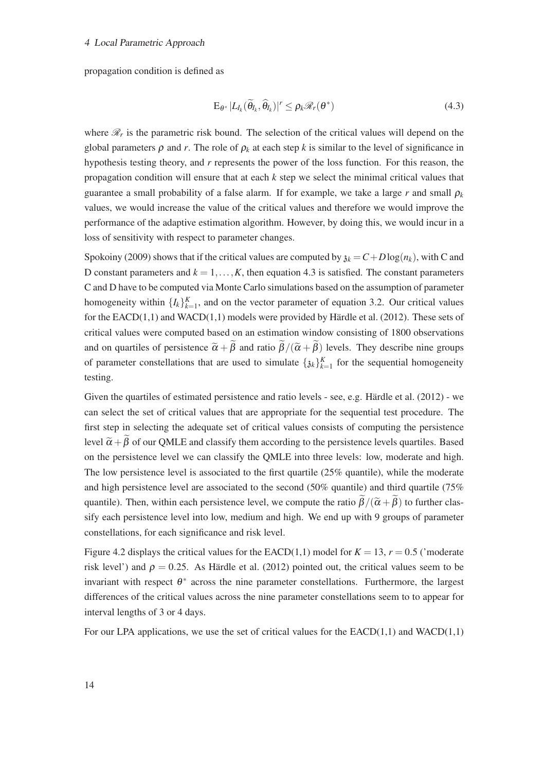#### <sup>4</sup> Local Parametric Approach

propagation condition is defined as

$$
\mathbf{E}_{\theta^*} | L_{I_k}(\widetilde{\theta}_{I_k}, \widehat{\theta}_{I_k}) |^r \leq \rho_k \mathscr{R}_r(\theta^*)
$$
\n(4.3)

where  $\mathcal{R}_r$  is the parametric risk bound. The selection of the critical values will depend on the global parameters  $\rho$  and *r*. The role of  $\rho_k$  at each step *k* is similar to the level of significance in hypothesis testing theory, and *r* represents the power of the loss function. For this reason, the propagation condition will ensure that at each *k* step we select the minimal critical values that guarantee a small probability of a false alarm. If for example, we take a large  $r$  and small  $\rho_k$ values, we would increase the value of the critical values and therefore we would improve the performance of the adaptive estimation algorithm. However, by doing this, we would incur in a loss of sensitivity with respect to parameter changes.

Spokoiny (2009) shows that if the critical values are computed by  $\lambda_k = C + D \log(n_k)$ , with C and D constant parameters and  $k = 1, \ldots, K$ , then equation 4.3 is satisfied. The constant parameters C and D have to be computed via Monte Carlo simulations based on the assumption of parameter homogeneity within  $\{I_k\}_{k=1}^K$ , and on the vector parameter of equation 3.2. Our critical values for the EACD(1,1) and WACD(1,1) models were provided by Härdle et al. (2012). These sets of critical values were computed based on an estimation window consisting of 1800 observations and on quartiles of persistence  $\tilde{\alpha} + \tilde{\beta}$  and ratio  $\tilde{\beta}/(\tilde{\alpha} + \tilde{\beta})$  levels. They describe nine groups of parameter constellations that are used to simulate  $\{x_k\}_{k=1}^K$  for the sequential homogeneity testing.

Given the quartiles of estimated persistence and ratio levels - see, e.g. Härdle et al. (2012) - we can select the set of critical values that are appropriate for the sequential test procedure. The first step in selecting the adequate set of critical values consists of computing the persistence level  $\tilde{\alpha} + \tilde{\beta}$  of our QMLE and classify them according to the persistence levels quartiles. Based on the persistence level we can classify the QMLE into three levels: low, moderate and high. The low persistence level is associated to the first quartile (25% quantile), while the moderate and high persistence level are associated to the second (50% quantile) and third quartile (75% quantile). Then, within each persistence level, we compute the ratio  $\tilde{\beta}/(\tilde{\alpha}+\tilde{\beta})$  to further classify each persistence level into low, medium and high. We end up with 9 groups of parameter constellations, for each significance and risk level.

Figure 4.2 displays the critical values for the EACD(1,1) model for  $K = 13$ ,  $r = 0.5$  ('moderate risk level') and  $\rho = 0.25$ . As Härdle et al. (2012) pointed out, the critical values seem to be invariant with respect  $\theta^*$  across the nine parameter constellations. Furthermore, the largest differences of the critical values across the nine parameter constellations seem to to appear for interval lengths of 3 or 4 days.

For our LPA applications, we use the set of critical values for the  $EACD(1,1)$  and  $WACD(1,1)$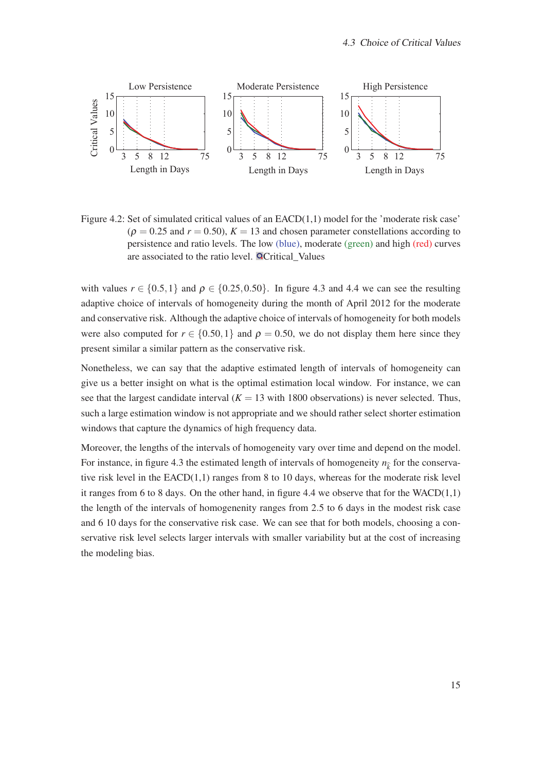

Figure 4.2: Set of simulated critical values of an EACD(1,1) model for the 'moderate risk case'  $(\rho = 0.25$  and  $r = 0.50$ ,  $K = 13$  and chosen parameter constellations according to persistence and ratio levels. The low (blue), moderate (green) and high (red) curves are associated to the ratio level. **QCritical** Values

with values  $r \in \{0.5, 1\}$  and  $\rho \in \{0.25, 0.50\}$ . In figure 4.3 and 4.4 we can see the resulting adaptive choice of intervals of homogeneity during the month of April 2012 for the moderate and conservative risk. Although the adaptive choice of intervals of homogeneity for both models were also computed for  $r \in \{0.50, 1\}$  and  $\rho = 0.50$ , we do not display them here since they present similar a similar pattern as the conservative risk.

Nonetheless, we can say that the adaptive estimated length of intervals of homogeneity can give us a better insight on what is the optimal estimation local window. For instance, we can see that the largest candidate interval  $(K = 13$  with 1800 observations) is never selected. Thus, such a large estimation window is not appropriate and we should rather select shorter estimation windows that capture the dynamics of high frequency data.

Moreover, the lengths of the intervals of homogeneity vary over time and depend on the model. For instance, in figure 4.3 the estimated length of intervals of homogeneity  $n_{\hat{k}}$  for the conservative risk level in the  $EACD(1,1)$  ranges from 8 to 10 days, whereas for the moderate risk level it ranges from 6 to 8 days. On the other hand, in figure 4.4 we observe that for the  $WACD(1,1)$ the length of the intervals of homogenenity ranges from 2.5 to 6 days in the modest risk case and 6 10 days for the conservative risk case. We can see that for both models, choosing a conservative risk level selects larger intervals with smaller variability but at the cost of increasing the modeling bias.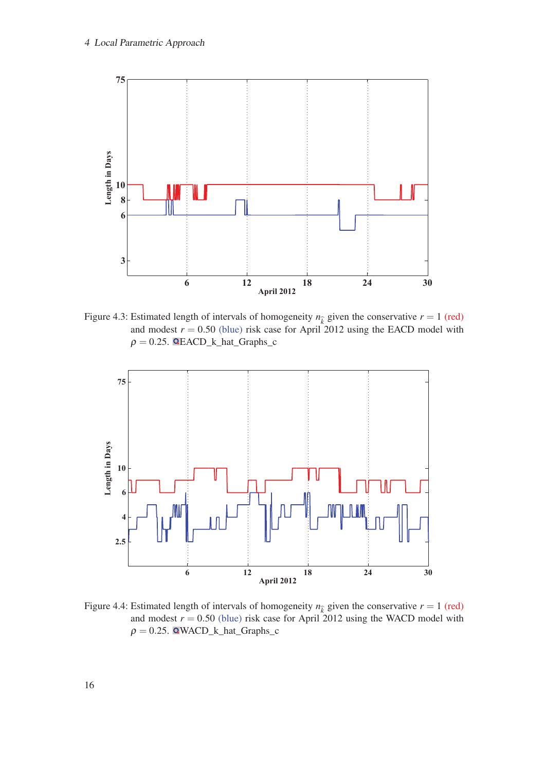

Figure 4.3: Estimated length of intervals of homogeneity  $n_{\hat{k}}$  given the conservative  $r = 1$  (red) and modest  $r = 0.50$  (blue) risk case for April 2012 using the EACD model with  $\rho = 0.25$ . **QEACD\_k\_hat\_Graphs\_c** 



Figure 4.4: Estimated length of intervals of homogeneity  $n_{\hat{k}}$  given the conservative  $r = 1$  (red) and modest  $r = 0.50$  (blue) risk case for April 2012 using the WACD model with  $\rho = 0.25$ . QWACD\_k\_hat\_Graphs\_c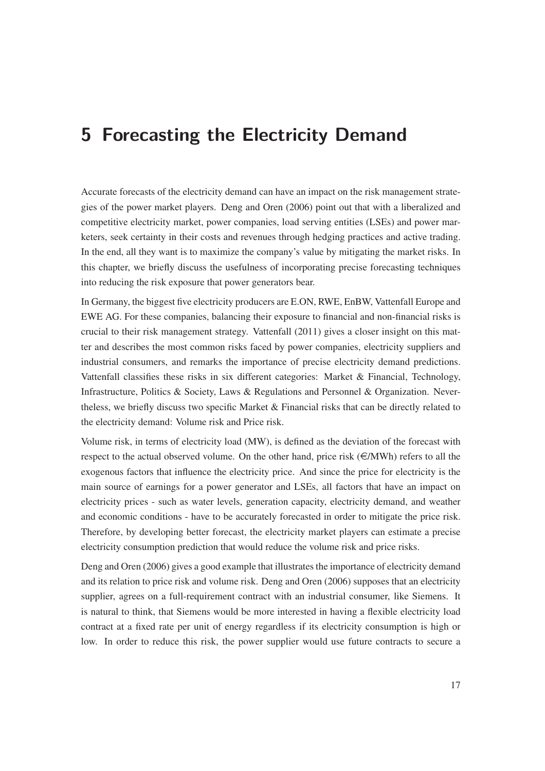## **5 Forecasting the Electricity Demand**

Accurate forecasts of the electricity demand can have an impact on the risk management strategies of the power market players. Deng and Oren (2006) point out that with a liberalized and competitive electricity market, power companies, load serving entities (LSEs) and power marketers, seek certainty in their costs and revenues through hedging practices and active trading. In the end, all they want is to maximize the company's value by mitigating the market risks. In this chapter, we briefly discuss the usefulness of incorporating precise forecasting techniques into reducing the risk exposure that power generators bear.

In Germany, the biggest five electricity producers are E.ON, RWE, EnBW, Vattenfall Europe and EWE AG. For these companies, balancing their exposure to financial and non-financial risks is crucial to their risk management strategy. Vattenfall (2011) gives a closer insight on this matter and describes the most common risks faced by power companies, electricity suppliers and industrial consumers, and remarks the importance of precise electricity demand predictions. Vattenfall classifies these risks in six different categories: Market & Financial, Technology, Infrastructure, Politics & Society, Laws & Regulations and Personnel & Organization. Nevertheless, we briefly discuss two specific Market & Financial risks that can be directly related to the electricity demand: Volume risk and Price risk.

Volume risk, in terms of electricity load (MW), is defined as the deviation of the forecast with respect to the actual observed volume. On the other hand, price risk  $(\epsilon/MWh)$  refers to all the exogenous factors that influence the electricity price. And since the price for electricity is the main source of earnings for a power generator and LSEs, all factors that have an impact on electricity prices - such as water levels, generation capacity, electricity demand, and weather and economic conditions - have to be accurately forecasted in order to mitigate the price risk. Therefore, by developing better forecast, the electricity market players can estimate a precise electricity consumption prediction that would reduce the volume risk and price risks.

Deng and Oren (2006) gives a good example that illustrates the importance of electricity demand and its relation to price risk and volume risk. Deng and Oren (2006) supposes that an electricity supplier, agrees on a full-requirement contract with an industrial consumer, like Siemens. It is natural to think, that Siemens would be more interested in having a flexible electricity load contract at a fixed rate per unit of energy regardless if its electricity consumption is high or low. In order to reduce this risk, the power supplier would use future contracts to secure a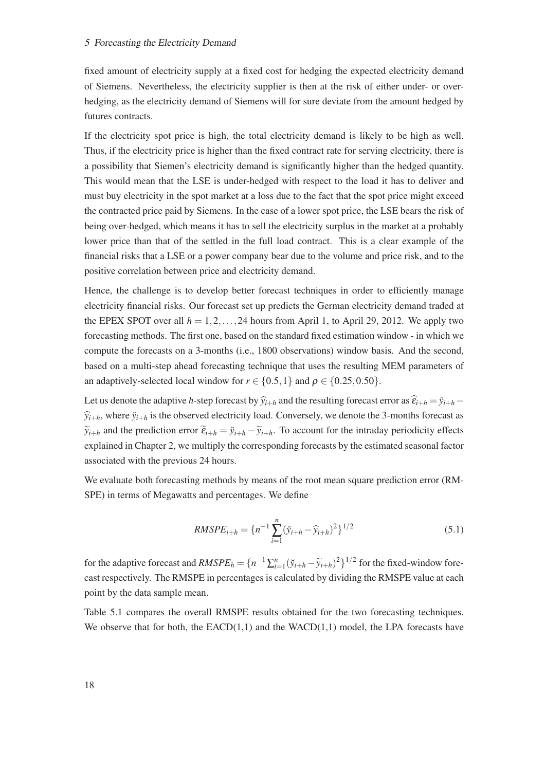fixed amount of electricity supply at a fixed cost for hedging the expected electricity demand of Siemens. Nevertheless, the electricity supplier is then at the risk of either under- or overhedging, as the electricity demand of Siemens will for sure deviate from the amount hedged by futures contracts.

If the electricity spot price is high, the total electricity demand is likely to be high as well. Thus, if the electricity price is higher than the fixed contract rate for serving electricity, there is a possibility that Siemen's electricity demand is significantly higher than the hedged quantity. This would mean that the LSE is under-hedged with respect to the load it has to deliver and must buy electricity in the spot market at a loss due to the fact that the spot price might exceed the contracted price paid by Siemens. In the case of a lower spot price, the LSE bears the risk of being over-hedged, which means it has to sell the electricity surplus in the market at a probably lower price than that of the settled in the full load contract. This is a clear example of the financial risks that a LSE or a power company bear due to the volume and price risk, and to the positive correlation between price and electricity demand.

Hence, the challenge is to develop better forecast techniques in order to efficiently manage electricity financial risks. Our forecast set up predicts the German electricity demand traded at the EPEX SPOT over all  $h = 1, 2, \ldots, 24$  hours from April 1, to April 29, 2012. We apply two forecasting methods. The first one, based on the standard fixed estimation window - in which we compute the forecasts on a 3-months (i.e., 1800 observations) window basis. And the second, based on a multi-step ahead forecasting technique that uses the resulting MEM parameters of an adaptively-selected local window for  $r \in \{0.5, 1\}$  and  $\rho \in \{0.25, 0.50\}$ .

Let us denote the adaptive *h*-step forecast by  $\hat{y}_{i+h}$  and the resulting forecast error as  $\hat{\epsilon}_{i+h} = \check{y}_{i+h} - \check{y}_{i+h}$  $\hat{y}_{i+h}$ , where  $\check{y}_{i+h}$  is the observed electricity load. Conversely, we denote the 3-months forecast as  $\widetilde{y}_{i+h}$  and the prediction error  $\widetilde{\epsilon}_{i+h} = \widetilde{y}_{i+h} - \widetilde{y}_{i+h}$ . To account for the intraday periodicity effects explained in Chapter 2, we multiply the corresponding forecasts by the estimated seasonal factor associated with the previous 24 hours.

We evaluate both forecasting methods by means of the root mean square prediction error (RM-SPE) in terms of Megawatts and percentages. We define

$$
RMSPE_{i+h} = \{n^{-1}\sum_{i=1}^{n} (\tilde{y}_{i+h} - \hat{y}_{i+h})^2\}^{1/2}
$$
\n(5.1)

for the adaptive forecast and  $RMSPE_h = \{n^{-1}\sum_{i=1}^n (\check{y}_{i+h} - \tilde{y}_{i+h})^2\}^{1/2}$  for the fixed-window forecast respectively. The RMSPE in percentages is calculated by dividing the RMSPE value at each point by the data sample mean.

Table 5.1 compares the overall RMSPE results obtained for the two forecasting techniques. We observe that for both, the EACD(1,1) and the WACD(1,1) model, the LPA forecasts have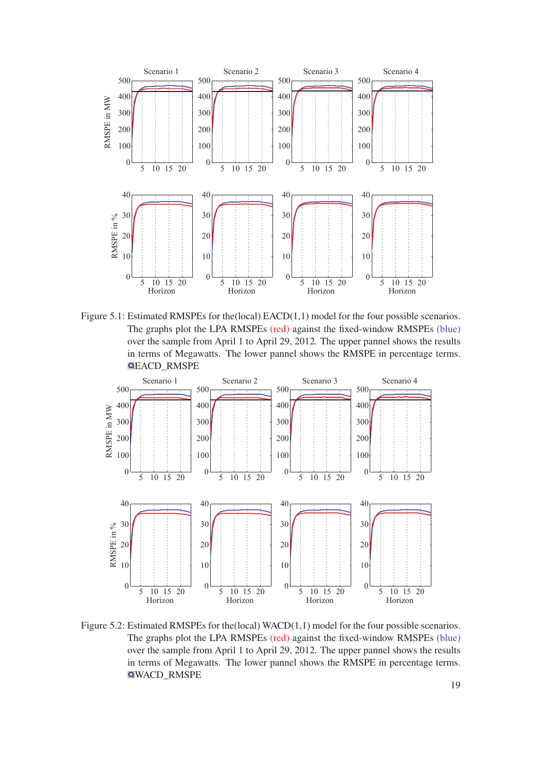

Figure 5.1: Estimated RMSPEs for the (local) EACD(1,1) model for the four possible scenarios. The graphs plot the LPA RMSPEs (red) against the fixed-window RMSPEs (blue) over the sample from April 1 to April 29, 2012. The upper pannel shows the results in terms of Megawatts. The lower pannel shows the RMSPE in percentage terms. EACD\_RMSPE



Figure 5.2: Estimated RMSPEs for the (local) WACD(1,1) model for the four possible scenarios. The graphs plot the LPA RMSPEs (red) against the fixed-window RMSPEs (blue) over the sample from April 1 to April 29, 2012. The upper pannel shows the results in terms of Megawatts. The lower pannel shows the RMSPE in percentage terms. WACD\_RMSPE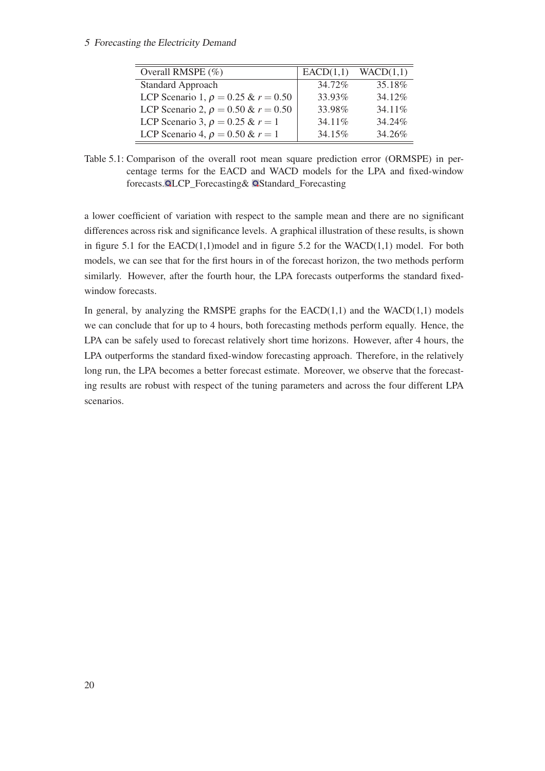#### 5 Forecasting the Electricity Demand

| Overall RMSPE $(\%)$                      | EACD(1,1) | WACD(1,1) |
|-------------------------------------------|-----------|-----------|
| <b>Standard Approach</b>                  | 34.72%    | 35.18%    |
| LCP Scenario 1, $\rho = 0.25 \& r = 0.50$ | 33.93%    | 34.12%    |
| LCP Scenario 2, $\rho = 0.50 \& r = 0.50$ | 33.98%    | 34.11\%   |
| LCP Scenario 3, $\rho = 0.25$ & $r = 1$   | 34.11%    | 34.24%    |
| LCP Scenario 4, $\rho = 0.50$ & $r = 1$   | 34.15%    | 34.26%    |

Table 5.1: Comparison of the overall root mean square prediction error (ORMSPE) in percentage terms for the EACD and WACD models for the LPA and fixed-window forecasts. QLCP\_Forecasting& QStandard\_Forecasting

a lower coefficient of variation with respect to the sample mean and there are no significant differences across risk and significance levels. A graphical illustration of these results, is shown in figure 5.1 for the EACD(1,1)model and in figure 5.2 for the WACD(1,1) model. For both models, we can see that for the first hours in of the forecast horizon, the two methods perform similarly. However, after the fourth hour, the LPA forecasts outperforms the standard fixedwindow forecasts.

In general, by analyzing the RMSPE graphs for the  $EACD(1,1)$  and the  $WACD(1,1)$  models we can conclude that for up to 4 hours, both forecasting methods perform equally. Hence, the LPA can be safely used to forecast relatively short time horizons. However, after 4 hours, the LPA outperforms the standard fixed-window forecasting approach. Therefore, in the relatively long run, the LPA becomes a better forecast estimate. Moreover, we observe that the forecasting results are robust with respect of the tuning parameters and across the four different LPA scenarios.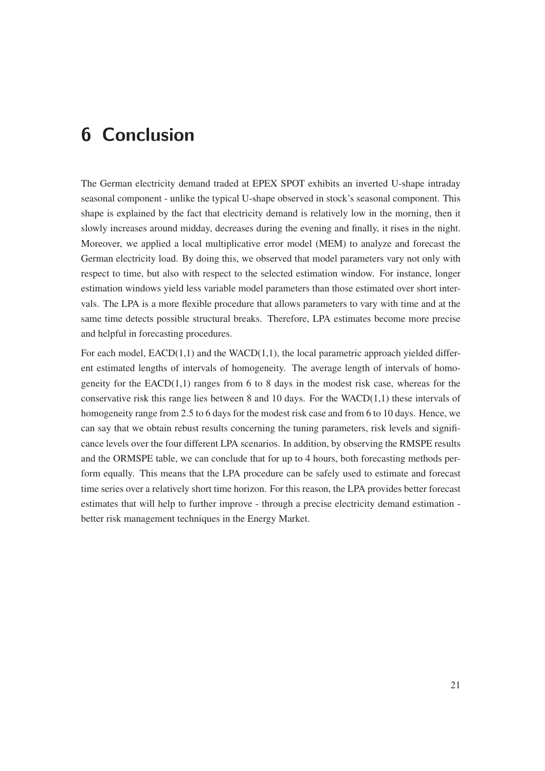## **6 Conclusion**

The German electricity demand traded at EPEX SPOT exhibits an inverted U-shape intraday seasonal component - unlike the typical U-shape observed in stock's seasonal component. This shape is explained by the fact that electricity demand is relatively low in the morning, then it slowly increases around midday, decreases during the evening and finally, it rises in the night. Moreover, we applied a local multiplicative error model (MEM) to analyze and forecast the German electricity load. By doing this, we observed that model parameters vary not only with respect to time, but also with respect to the selected estimation window. For instance, longer estimation windows yield less variable model parameters than those estimated over short intervals. The LPA is a more flexible procedure that allows parameters to vary with time and at the same time detects possible structural breaks. Therefore, LPA estimates become more precise and helpful in forecasting procedures.

For each model,  $EACD(1,1)$  and the WACD(1,1), the local parametric approach yielded different estimated lengths of intervals of homogeneity. The average length of intervals of homogeneity for the  $EACD(1,1)$  ranges from 6 to 8 days in the modest risk case, whereas for the conservative risk this range lies between 8 and 10 days. For the WACD(1,1) these intervals of homogeneity range from 2.5 to 6 days for the modest risk case and from 6 to 10 days. Hence, we can say that we obtain rebust results concerning the tuning parameters, risk levels and significance levels over the four different LPA scenarios. In addition, by observing the RMSPE results and the ORMSPE table, we can conclude that for up to 4 hours, both forecasting methods perform equally. This means that the LPA procedure can be safely used to estimate and forecast time series over a relatively short time horizon. For this reason, the LPA provides better forecast estimates that will help to further improve - through a precise electricity demand estimation better risk management techniques in the Energy Market.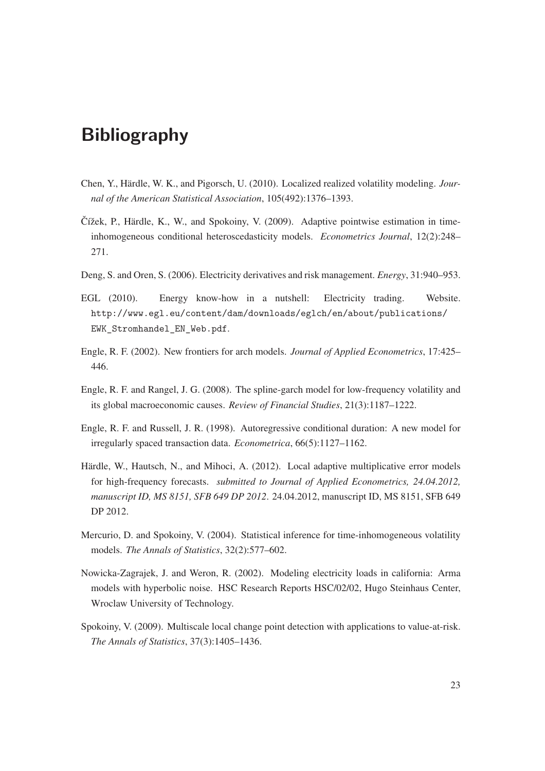## **Bibliography**

- Chen, Y., Härdle, W. K., and Pigorsch, U. (2010). Localized realized volatility modeling. *Journal of the American Statistical Association*, 105(492):1376–1393.
- $\check{C}$ ížek, P., Härdle, K., W., and Spokoiny, V. (2009). Adaptive pointwise estimation in timeinhomogeneous conditional heteroscedasticity models. *Econometrics Journal*, 12(2):248– 271.
- Deng, S. and Oren, S. (2006). Electricity derivatives and risk management. *Energy*, 31:940–953.
- EGL (2010). Energy know-how in a nutshell: Electricity trading. Website. http://www.egl.eu/content/dam/downloads/eglch/en/about/publications/ EWK Stromhandel EN Web.pdf.
- Engle, R. F. (2002). New frontiers for arch models. *Journal of Applied Econometrics*, 17:425– 446.
- Engle, R. F. and Rangel, J. G. (2008). The spline-garch model for low-frequency volatility and its global macroeconomic causes. *Review of Financial Studies*, 21(3):1187–1222.
- Engle, R. F. and Russell, J. R. (1998). Autoregressive conditional duration: A new model for irregularly spaced transaction data. *Econometrica*, 66(5):1127–1162.
- Härdle, W., Hautsch, N., and Mihoci, A. (2012). Local adaptive multiplicative error models for high-frequency forecasts. *submitted to Journal of Applied Econometrics, 24.04.2012, manuscript ID, MS 8151, SFB 649 DP 2012*. 24.04.2012, manuscript ID, MS 8151, SFB 649 DP 2012.
- Mercurio, D. and Spokoiny, V. (2004). Statistical inference for time-inhomogeneous volatility models. *The Annals of Statistics*, 32(2):577–602.
- Nowicka-Zagrajek, J. and Weron, R. (2002). Modeling electricity loads in california: Arma models with hyperbolic noise. HSC Research Reports HSC/02/02, Hugo Steinhaus Center, Wroclaw University of Technology.
- Spokoiny, V. (2009). Multiscale local change point detection with applications to value-at-risk. *The Annals of Statistics*, 37(3):1405–1436.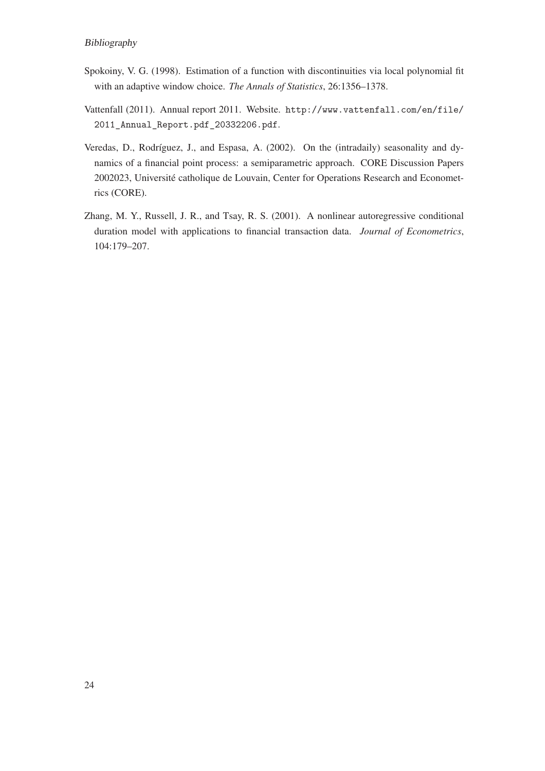#### Bibliography

- Spokoiny, V. G. (1998). Estimation of a function with discontinuities via local polynomial fit with an adaptive window choice. *The Annals of Statistics*, 26:1356–1378.
- Vattenfall (2011). Annual report 2011. Website. http://www.vattenfall.com/en/file/ 2011\_Annual\_Report.pdf\_20332206.pdf.
- Veredas, D., Rodríguez, J., and Espasa, A. (2002). On the (intradaily) seasonality and dynamics of a financial point process: a semiparametric approach. CORE Discussion Papers 2002023, Université catholique de Louvain, Center for Operations Research and Econometrics (CORE).
- Zhang, M. Y., Russell, J. R., and Tsay, R. S. (2001). A nonlinear autoregressive conditional duration model with applications to financial transaction data. *Journal of Econometrics*, 104:179–207.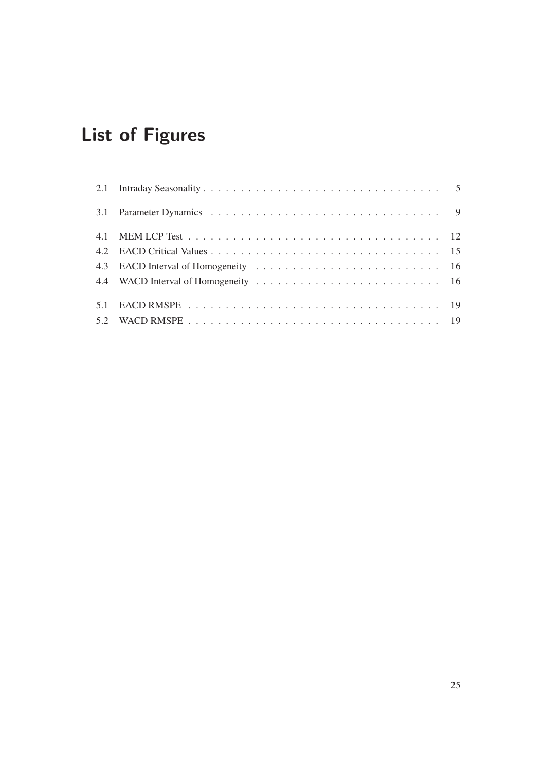# **List of Figures**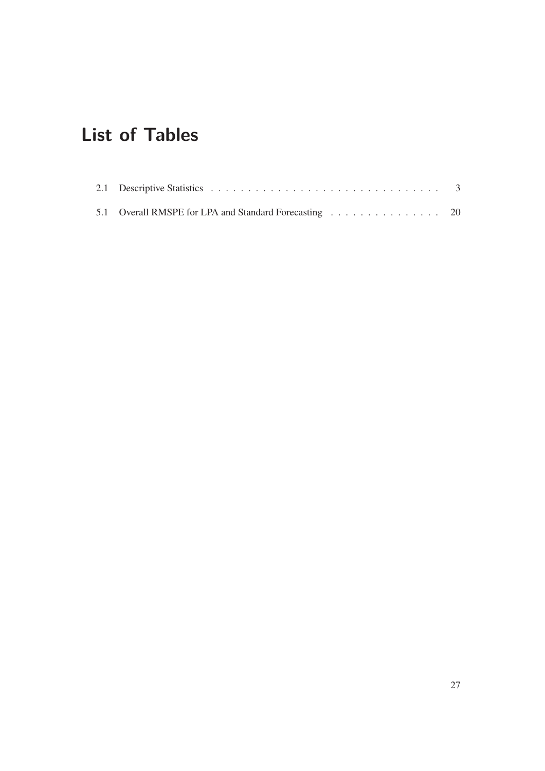# **List of Tables**

| 5.1 Overall RMSPE for LPA and Standard Forecasting 20 |  |  |  |  |  |  |  |  |
|-------------------------------------------------------|--|--|--|--|--|--|--|--|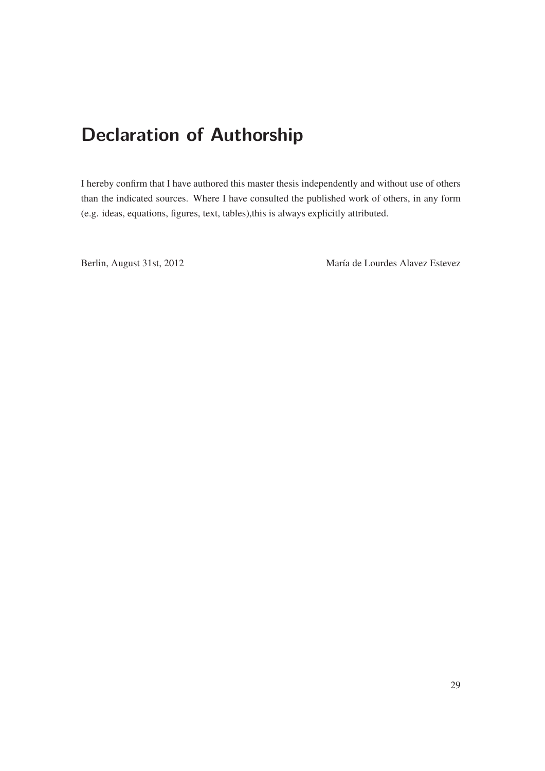# **Declaration of Authorship**

I hereby confirm that I have authored this master thesis independently and without use of others than the indicated sources. Where I have consulted the published work of others, in any form (e.g. ideas, equations, figures, text, tables),this is always explicitly attributed.

Berlin, August 31st, 2012 María de Lourdes Alavez Estevez